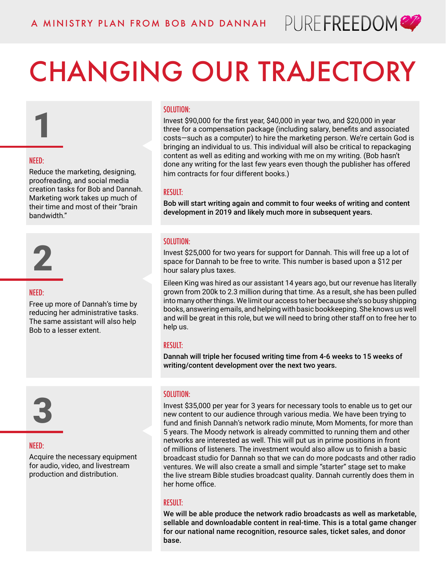

## CHANGING OUR TRAJECTORY

#### SOLUTION:

Invest \$90,000 for the first year, \$40,000 in year two, and \$20,000 in year three for a compensation package (including salary, benefits and associated costs—such as a computer) to hire the marketing person. We're certain God is bringing an individual to us. This individual will also be critical to repackaging content as well as editing and working with me on my writing. (Bob hasn't done any writing for the last few years even though the publisher has offered him contracts for four different books.)

#### RESULT:

Bob will start writing again and commit to four weeks of writing and content development in 2019 and likely much more in subsequent years.

#### SOLUTION:

Invest \$25,000 for two years for support for Dannah. This will free up a lot of space for Dannah to be free to write. This number is based upon a \$12 per hour salary plus taxes.

Eileen King was hired as our assistant 14 years ago, but our revenue has literally grown from 200k to 2.3 million during that time. As a result, she has been pulled into many other things. We limit our access to her because she's so busy shipping books, answering emails, and helping with basic bookkeeping. She knows us well and will be great in this role, but we will need to bring other staff on to free her to help us.

#### RESULT:

Dannah will triple her focused writing time from 4-6 weeks to 15 weeks of writing/content development over the next two years.

#### SOLUTION:

Invest \$35,000 per year for 3 years for necessary tools to enable us to get our new content to our audience through various media. We have been trying to fund and finish Dannah's network radio minute, Mom Moments, for more than 5 years. The Moody network is already committed to running them and other networks are interested as well. This will put us in prime positions in front of millions of listeners. The investment would also allow us to finish a basic broadcast studio for Dannah so that we can do more podcasts and other radio ventures. We will also create a small and simple "starter" stage set to make the live stream Bible studies broadcast quality. Dannah currently does them in her home office.

#### RESULT:

We will be able produce the network radio broadcasts as well as marketable, sellable and downloadable content in real-time. This is a total game changer for our national name recognition, resource sales, ticket sales, and donor base.

#### NEED:

1

Reduce the marketing, designing, proofreading, and social media creation tasks for Bob and Dannah. Marketing work takes up much of their time and most of their "brain bandwidth."



#### NEED:

Free up more of Dannah's time by reducing her administrative tasks. The same assistant will also help Bob to a lesser extent.



#### NEED:

Acquire the necessary equipment for audio, video, and livestream production and distribution.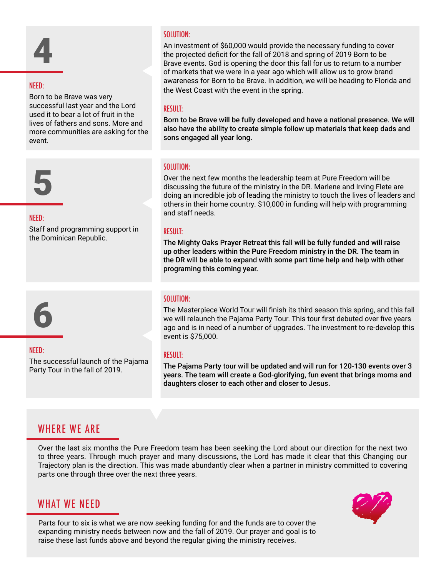# 4

#### NEED:

Born to be Brave was very successful last year and the Lord used it to bear a lot of fruit in the lives of fathers and sons. More and more communities are asking for the event.



#### NEED:

Staff and programming support in the Dominican Republic.

## 6

#### NEED:

The successful launch of the Pajama Party Tour in the fall of 2019.

#### SOLUTION:

An investment of \$60,000 would provide the necessary funding to cover the projected deficit for the fall of 2018 and spring of 2019 Born to be Brave events. God is opening the door this fall for us to return to a number of markets that we were in a year ago which will allow us to grow brand awareness for Born to be Brave. In addition, we will be heading to Florida and the West Coast with the event in the spring.

#### RESULT:

Born to be Brave will be fully developed and have a national presence. We will also have the ability to create simple follow up materials that keep dads and sons engaged all year long.

#### SOLUTION:

Over the next few months the leadership team at Pure Freedom will be discussing the future of the ministry in the DR. Marlene and Irving Flete are doing an incredible job of leading the ministry to touch the lives of leaders and others in their home country. \$10,000 in funding will help with programming and staff needs.

#### RESULT:

The Mighty Oaks Prayer Retreat this fall will be fully funded and will raise up other leaders within the Pure Freedom ministry in the DR. The team in the DR will be able to expand with some part time help and help with other programing this coming year.

#### SOLUTION:

The Masterpiece World Tour will finish its third season this spring, and this fall we will relaunch the Pajama Party Tour. This tour first debuted over five years ago and is in need of a number of upgrades. The investment to re-develop this event is \$75,000.

#### RESULT:

The Pajama Party tour will be updated and will run for 120-130 events over 3 years. The team will create a God-glorifying, fun event that brings moms and daughters closer to each other and closer to Jesus.

#### WHERE WE ARE

Over the last six months the Pure Freedom team has been seeking the Lord about our direction for the next two to three years. Through much prayer and many discussions, the Lord has made it clear that this Changing our Trajectory plan is the direction. This was made abundantly clear when a partner in ministry committed to covering parts one through three over the next three years.

#### WHAT WE NEED



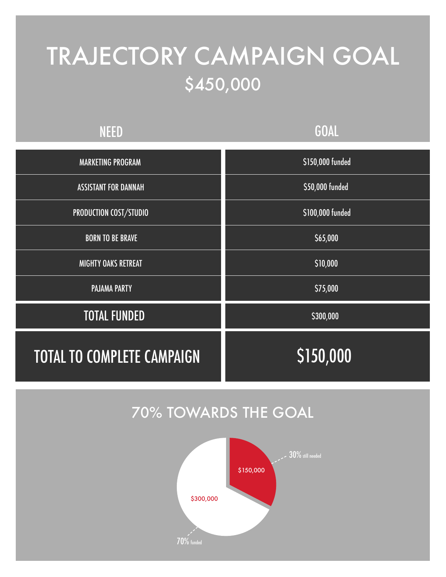## TRAJECTORY CAMPAIGN GOAL \$450,000

### NEED

### **GOAL**

| <b>MARKETING PROGRAM</b>          | \$150,000 funded |  |  |
|-----------------------------------|------------------|--|--|
| <b>ASSISTANT FOR DANNAH</b>       | \$50,000 funded  |  |  |
| PRODUCTION COST/STUDIO            | \$100,000 funded |  |  |
| <b>BORN TO BE BRAVE</b>           | \$65,000         |  |  |
| <b>MIGHTY OAKS RETREAT</b>        | \$10,000         |  |  |
| <b>PAJAMA PARTY</b>               | \$75,000         |  |  |
| <b>TOTAL FUNDED</b>               | \$300,000        |  |  |
| <b>TOTAL TO COMPLETE CAMPAIGN</b> | \$150,000        |  |  |

### 70% TOWARDS THE GOAL